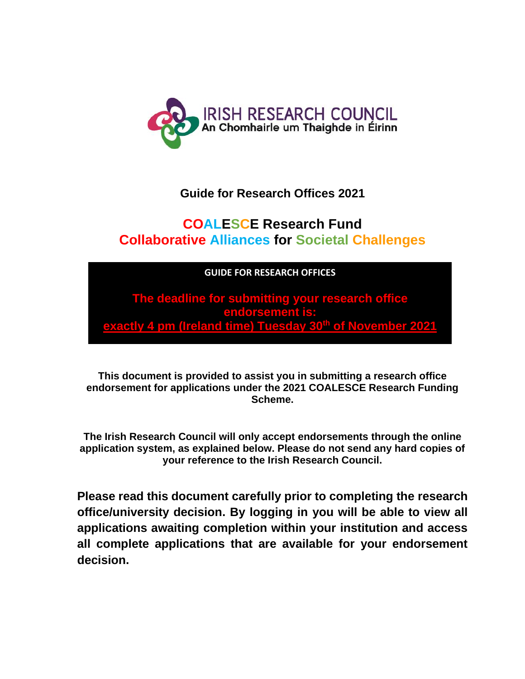

## **Guide for Research Offices 2021**

# **COALESCE Research Fund Collaborative Alliances for Societal Challenges**

**GUIDE FOR RESEARCH OFFICES** Including details of the ONLINE APPLICATION SYSTEM (OLS) PLEASE READ THIS

**The deadline for submitting your research office** endorsement is: **exactly 4 pm (Ireland time) Tuesday 30th of November 2021** 

**This document is provided to assist you in submitting a research office endorsement for applications under the 2021 COALESCE Research Funding Scheme.**

**The Irish Research Council will only accept endorsements through the online application system, as explained below. Please do not send any hard copies of your reference to the Irish Research Council.**

**Please read this document carefully prior to completing the research office/university decision. By logging in you will be able to view all applications awaiting completion within your institution and access all complete applications that are available for your endorsement decision.**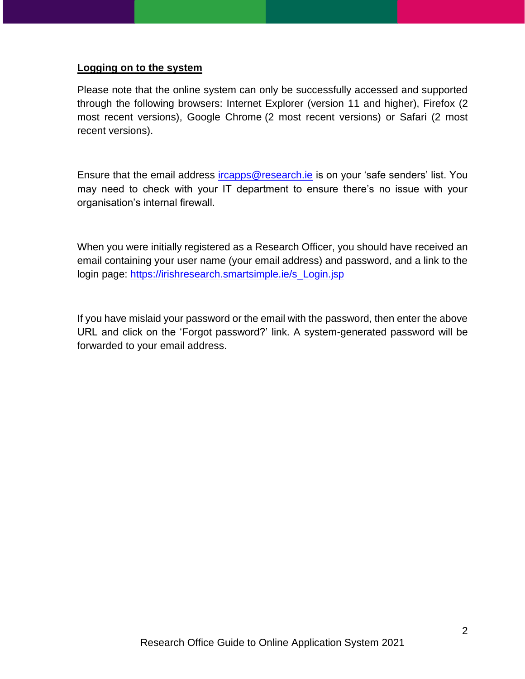#### **Logging on to the system**

Please note that the online system can only be successfully accessed and supported through the following browsers: Internet Explorer (version 11 and higher), Firefox (2 most recent versions), Google Chrome (2 most recent versions) or Safari (2 most recent versions).

Ensure that the email address [ircapps@research.ie](mailto:ircapps@research.ie) is on your 'safe senders' list. You may need to check with your IT department to ensure there's no issue with your organisation's internal firewall.

When you were initially registered as a Research Officer, you should have received an email containing your user name (your email address) and password, and a link to the login page: [https://irishresearch.smartsimple.ie/s\\_Login.jsp](https://irishresearch.smartsimple.ie/s_Login.jsp) 

If you have mislaid your password or the email with the password, then enter the above URL and click on the 'Forgot password?' link. A system-generated password will be forwarded to your email address.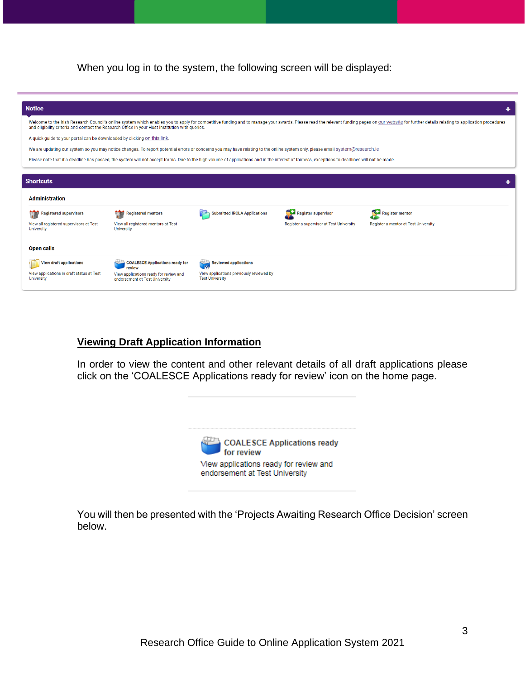When you log in to the system, the following screen will be displayed:

| <b>Notice</b>                                                                                                                                                                 |                                                                                                                                                                                                |                                                                    |                                          |                                                                                                                                                                                                                                |  |
|-------------------------------------------------------------------------------------------------------------------------------------------------------------------------------|------------------------------------------------------------------------------------------------------------------------------------------------------------------------------------------------|--------------------------------------------------------------------|------------------------------------------|--------------------------------------------------------------------------------------------------------------------------------------------------------------------------------------------------------------------------------|--|
|                                                                                                                                                                               | and eligibility criteria and contact the Research Office in your Host Institution with queries.                                                                                                |                                                                    |                                          | Welcome to the Irish Research Council's online system which enables you to apply for competitive funding and to manage your awards. Please read the relevant funding pages on our website for further details relating to appl |  |
| A quick quide to your portal can be downloaded by clicking on this link.                                                                                                      |                                                                                                                                                                                                |                                                                    |                                          |                                                                                                                                                                                                                                |  |
| We are updating our system so you may notice changes. To report potential errors or concerns you may have relating to the online system only, please email system@research.ie |                                                                                                                                                                                                |                                                                    |                                          |                                                                                                                                                                                                                                |  |
|                                                                                                                                                                               | Please note that if a deadline has passed, the system will not accept forms. Due to the high volume of applications and in the interest of fairness, exceptions to deadlines will not be made. |                                                                    |                                          |                                                                                                                                                                                                                                |  |
|                                                                                                                                                                               |                                                                                                                                                                                                |                                                                    |                                          |                                                                                                                                                                                                                                |  |
| <b>Shortcuts</b>                                                                                                                                                              |                                                                                                                                                                                                |                                                                    |                                          |                                                                                                                                                                                                                                |  |
| <b>Administration</b>                                                                                                                                                         |                                                                                                                                                                                                |                                                                    |                                          |                                                                                                                                                                                                                                |  |
| <b>Registered supervisors</b>                                                                                                                                                 | <b>Registered mentors</b>                                                                                                                                                                      | <b>Submitted IRCLA Applications</b>                                | <b>Register supervisor</b>               | SĦ<br><b>Register mentor</b>                                                                                                                                                                                                   |  |
| View all registered supervisors at Test<br><b>University</b>                                                                                                                  | View all registered mentors at Test<br><b>University</b>                                                                                                                                       |                                                                    | Register a supervisor at Test University | Register a mentor at Test University                                                                                                                                                                                           |  |
| <b>Open calls</b>                                                                                                                                                             |                                                                                                                                                                                                |                                                                    |                                          |                                                                                                                                                                                                                                |  |
| <b>View draft applications</b>                                                                                                                                                | <b>COALESCE Applications ready for</b><br>review                                                                                                                                               | <b>Reviewed applications</b>                                       |                                          |                                                                                                                                                                                                                                |  |
| View applications in draft status at Test<br><b>University</b>                                                                                                                | View applications ready for review and<br>endorsement at Test University                                                                                                                       | View applications previously reviewed by<br><b>Test University</b> |                                          |                                                                                                                                                                                                                                |  |
|                                                                                                                                                                               |                                                                                                                                                                                                |                                                                    |                                          |                                                                                                                                                                                                                                |  |

#### **Viewing Draft Application Information**

In order to view the content and other relevant details of all draft applications please click on the 'COALESCE Applications ready for review' icon on the home page.

| COALESCE Applications ready<br>for review                                |  |
|--------------------------------------------------------------------------|--|
| View applications ready for review and<br>endorsement at Test University |  |

You will then be presented with the 'Projects Awaiting Research Office Decision' screen below.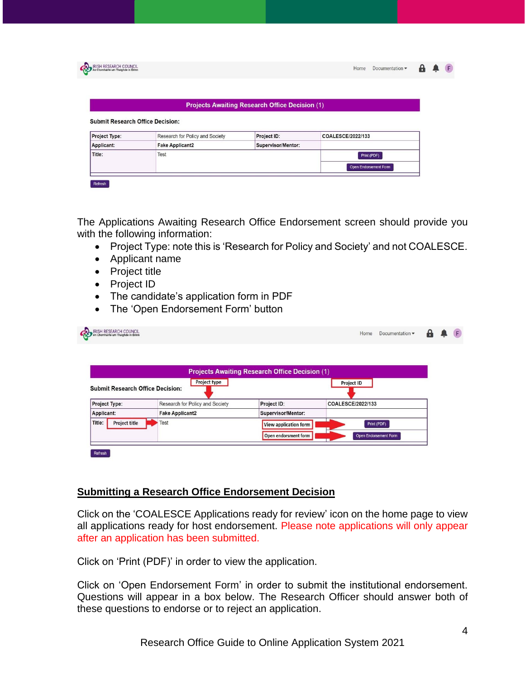|                                                          |                                 | <b>Projects Awaiting Research Office Decision (1)</b> |                   |  |
|----------------------------------------------------------|---------------------------------|-------------------------------------------------------|-------------------|--|
|                                                          |                                 |                                                       |                   |  |
| <b>Submit Research Office Decision:</b><br>Project Type: | Research for Policy and Society | Project ID:                                           | COALESCE/2022/133 |  |
| Applicant:                                               | <b>Fake Applicant2</b>          | Supervisor/Mentor:                                    |                   |  |
| Title:                                                   | Test                            |                                                       | Print (PDF)       |  |

The Applications Awaiting Research Office Endorsement screen should provide you with the following information:

- Project Type: note this is 'Research for Policy and Society' and not COALESCE.
- Applicant name
- Project title
- Project ID
- The candidate's application form in PDF
- The 'Open Endorsement Form' button

| <b>Submit Research Office Decision:</b> | Project type                    |                                               | <b>Project ID</b>     |  |
|-----------------------------------------|---------------------------------|-----------------------------------------------|-----------------------|--|
| Project Type:                           | Research for Policy and Society | Project ID:                                   | COALESCE/2022/133     |  |
| Applicant:                              | <b>Fake Applicant2</b>          | Supervisor/Mentor:                            |                       |  |
| <b>Project title</b>                    | Test                            |                                               | Print (PDF)           |  |
|                                         |                                 |                                               |                       |  |
| Title:                                  |                                 | View application form<br>Open endorsment form | Open Endorsement Form |  |

#### **Submitting a Research Office Endorsement Decision**

Click on the 'COALESCE Applications ready for review' icon on the home page to view all applications ready for host endorsement. Please note applications will only appear after an application has been submitted.

Click on 'Print (PDF)' in order to view the application.

Click on 'Open Endorsement Form' in order to submit the institutional endorsement. Questions will appear in a box below. The Research Officer should answer both of these questions to endorse or to reject an application.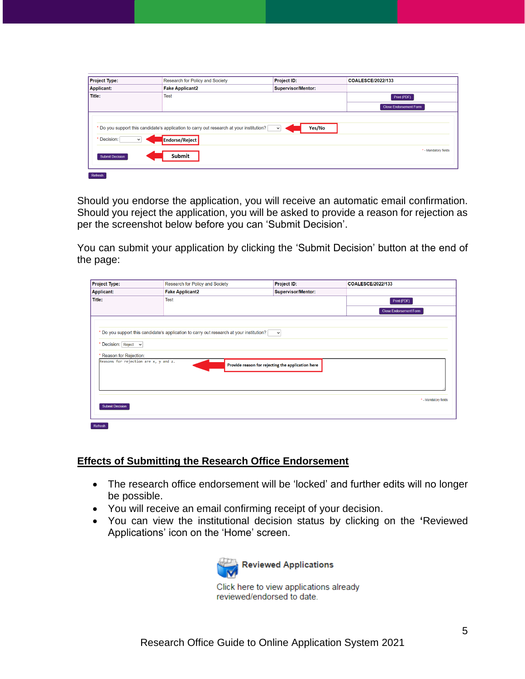| <b>Project Type:</b>                                            | Research for Policy and Society                                                                                     | Project ID:               | <b>COALESCE/2022/133</b>      |  |  |
|-----------------------------------------------------------------|---------------------------------------------------------------------------------------------------------------------|---------------------------|-------------------------------|--|--|
| <b>Applicant:</b>                                               | <b>Fake Applicant2</b>                                                                                              | <b>Supervisor/Mentor:</b> |                               |  |  |
| <b>Title:</b>                                                   | <b>Test</b>                                                                                                         |                           | Print (PDF)                   |  |  |
|                                                                 |                                                                                                                     |                           | <b>Close Endorsement Form</b> |  |  |
| Decision:<br>$\check{ }$                                        | * Do you support this candidate's application to carry out research at your institution? [<br><b>Endorse/Reject</b> | Yes/No<br>$\checkmark$    |                               |  |  |
| * - Mandatory fields<br><b>Submit</b><br><b>Submit Decision</b> |                                                                                                                     |                           |                               |  |  |

Should you endorse the application, you will receive an automatic email confirmation. Should you reject the application, you will be asked to provide a reason for rejection as per the screenshot below before you can 'Submit Decision'.

You can submit your application by clicking the 'Submit Decision' button at the end of the page:

| Applicant:<br><b>Fake Applicant2</b><br><b>Supervisor/Mentor:</b><br>Title:<br><b>Test</b><br>Print (PDF)<br><b>Close Endorsement Form</b><br>* Do you support this candidate's application to carry out research at your institution?<br>* Decision: Reject v<br>* Reason for Rejection:<br>Reasons for rejection are x, y and z.<br>Provide reason for rejecting the application here<br>* - Mandatory fields<br><b>Submit Decision</b> | <b>Project Type:</b> | Research for Policy and Society | Project ID: | COALESCE/2022/133 |
|-------------------------------------------------------------------------------------------------------------------------------------------------------------------------------------------------------------------------------------------------------------------------------------------------------------------------------------------------------------------------------------------------------------------------------------------|----------------------|---------------------------------|-------------|-------------------|
|                                                                                                                                                                                                                                                                                                                                                                                                                                           |                      |                                 |             |                   |
|                                                                                                                                                                                                                                                                                                                                                                                                                                           |                      |                                 |             |                   |
|                                                                                                                                                                                                                                                                                                                                                                                                                                           |                      |                                 |             |                   |
|                                                                                                                                                                                                                                                                                                                                                                                                                                           |                      |                                 |             |                   |

#### **Effects of Submitting the Research Office Endorsement**

- The research office endorsement will be 'locked' and further edits will no longer be possible.
- You will receive an email confirming receipt of your decision.
- You can view the institutional decision status by clicking on the **'**Reviewed Applications' icon on the 'Home' screen.



Click here to view applications already reviewed/endorsed to date